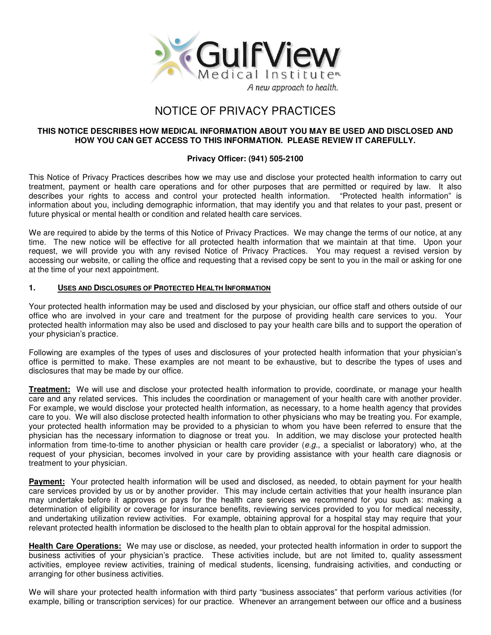

# NOTICE OF PRIVACY PRACTICES

#### **THIS NOTICE DESCRIBES HOW MEDICAL INFORMATION ABOUT YOU MAY BE USED AND DISCLOSED AND HOW YOU CAN GET ACCESS TO THIS INFORMATION. PLEASE REVIEW IT CAREFULLY.**

#### **Privacy Officer: (941) 505-2100**

This Notice of Privacy Practices describes how we may use and disclose your protected health information to carry out treatment, payment or health care operations and for other purposes that are permitted or required by law. It also describes your rights to access and control your protected health information. "Protected health information" is information about you, including demographic information, that may identify you and that relates to your past, present or future physical or mental health or condition and related health care services.

We are required to abide by the terms of this Notice of Privacy Practices. We may change the terms of our notice, at any time. The new notice will be effective for all protected health information that we maintain at that time. Upon your request, we will provide you with any revised Notice of Privacy Practices. You may request a revised version by accessing our website, or calling the office and requesting that a revised copy be sent to you in the mail or asking for one at the time of your next appointment.

#### **1. USES AND DISCLOSURES OF PROTECTED HEALTH INFORMATION**

Your protected health information may be used and disclosed by your physician, our office staff and others outside of our office who are involved in your care and treatment for the purpose of providing health care services to you. Your protected health information may also be used and disclosed to pay your health care bills and to support the operation of your physician's practice.

Following are examples of the types of uses and disclosures of your protected health information that your physician's office is permitted to make. These examples are not meant to be exhaustive, but to describe the types of uses and disclosures that may be made by our office.

**Treatment:** We will use and disclose your protected health information to provide, coordinate, or manage your health care and any related services. This includes the coordination or management of your health care with another provider. For example, we would disclose your protected health information, as necessary, to a home health agency that provides care to you. We will also disclose protected health information to other physicians who may be treating you. For example, your protected health information may be provided to a physician to whom you have been referred to ensure that the physician has the necessary information to diagnose or treat you. In addition, we may disclose your protected health information from time-to-time to another physician or health care provider (e.g., a specialist or laboratory) who, at the request of your physician, becomes involved in your care by providing assistance with your health care diagnosis or treatment to your physician.

**Payment:** Your protected health information will be used and disclosed, as needed, to obtain payment for your health care services provided by us or by another provider. This may include certain activities that your health insurance plan may undertake before it approves or pays for the health care services we recommend for you such as: making a determination of eligibility or coverage for insurance benefits, reviewing services provided to you for medical necessity, and undertaking utilization review activities. For example, obtaining approval for a hospital stay may require that your relevant protected health information be disclosed to the health plan to obtain approval for the hospital admission.

**Health Care Operations:** We may use or disclose, as needed, your protected health information in order to support the business activities of your physician's practice. These activities include, but are not limited to, quality assessment activities, employee review activities, training of medical students, licensing, fundraising activities, and conducting or arranging for other business activities.

We will share your protected health information with third party "business associates" that perform various activities (for example, billing or transcription services) for our practice. Whenever an arrangement between our office and a business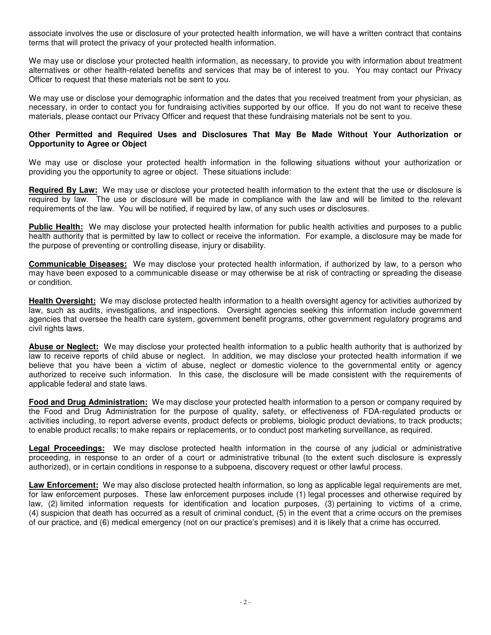associate involves the use or disclosure of your protected health information, we will have a written contract that contains terms that will protect the privacy of your protected health information.

We may use or disclose your protected health information, as necessary, to provide you with information about treatment alternatives or other health-related benefits and services that may be of interest to you. You may contact our Privacy Officer to request that these materials not be sent to you.

We may use or disclose your demographic information and the dates that you received treatment from your physician, as necessary, in order to contact you for fundraising activities supported by our office. If you do not want to receive these materials, please contact our Privacy Officer and request that these fundraising materials not be sent to you.

#### **Other Permitted and Required Uses and Disclosures That May Be Made Without Your Authorization or Opportunity to Agree or Object**

We may use or disclose your protected health information in the following situations without your authorization or providing you the opportunity to agree or object. These situations include:

**Required By Law:** We may use or disclose your protected health information to the extent that the use or disclosure is required by law. The use or disclosure will be made in compliance with the law and will be limited to the relevant requirements of the law. You will be notified, if required by law, of any such uses or disclosures.

**Public Health:** We may disclose your protected health information for public health activities and purposes to a public health authority that is permitted by law to collect or receive the information. For example, a disclosure may be made for the purpose of preventing or controlling disease, injury or disability.

**Communicable Diseases:** We may disclose your protected health information, if authorized by law, to a person who may have been exposed to a communicable disease or may otherwise be at risk of contracting or spreading the disease or condition.

**Health Oversight:** We may disclose protected health information to a health oversight agency for activities authorized by law, such as audits, investigations, and inspections. Oversight agencies seeking this information include government agencies that oversee the health care system, government benefit programs, other government regulatory programs and civil rights laws.

**Abuse or Neglect:** We may disclose your protected health information to a public health authority that is authorized by law to receive reports of child abuse or neglect. In addition, we may disclose your protected health information if we believe that you have been a victim of abuse, neglect or domestic violence to the governmental entity or agency authorized to receive such information. In this case, the disclosure will be made consistent with the requirements of applicable federal and state laws.

**Food and Drug Administration:** We may disclose your protected health information to a person or company required by the Food and Drug Administration for the purpose of quality, safety, or effectiveness of FDA-regulated products or activities including, to report adverse events, product defects or problems, biologic product deviations, to track products; to enable product recalls; to make repairs or replacements, or to conduct post marketing surveillance, as required.

**Legal Proceedings:** We may disclose protected health information in the course of any judicial or administrative proceeding, in response to an order of a court or administrative tribunal (to the extent such disclosure is expressly authorized), or in certain conditions in response to a subpoena, discovery request or other lawful process.

**Law Enforcement:** We may also disclose protected health information, so long as applicable legal requirements are met, for law enforcement purposes. These law enforcement purposes include (1) legal processes and otherwise required by law, (2) limited information requests for identification and location purposes, (3) pertaining to victims of a crime, (4) suspicion that death has occurred as a result of criminal conduct, (5) in the event that a crime occurs on the premises of our practice, and (6) medical emergency (not on our practice's premises) and it is likely that a crime has occurred.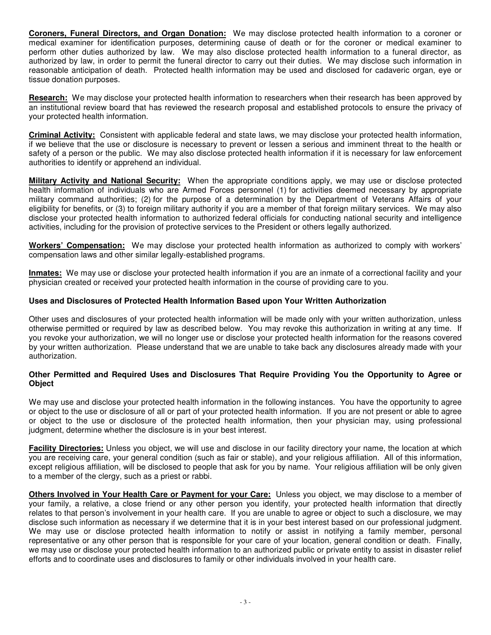**Coroners, Funeral Directors, and Organ Donation:** We may disclose protected health information to a coroner or medical examiner for identification purposes, determining cause of death or for the coroner or medical examiner to perform other duties authorized by law. We may also disclose protected health information to a funeral director, as authorized by law, in order to permit the funeral director to carry out their duties. We may disclose such information in reasonable anticipation of death. Protected health information may be used and disclosed for cadaveric organ, eye or tissue donation purposes.

**Research:** We may disclose your protected health information to researchers when their research has been approved by an institutional review board that has reviewed the research proposal and established protocols to ensure the privacy of your protected health information.

**Criminal Activity:** Consistent with applicable federal and state laws, we may disclose your protected health information, if we believe that the use or disclosure is necessary to prevent or lessen a serious and imminent threat to the health or safety of a person or the public. We may also disclose protected health information if it is necessary for law enforcement authorities to identify or apprehend an individual.

**Military Activity and National Security:** When the appropriate conditions apply, we may use or disclose protected health information of individuals who are Armed Forces personnel (1) for activities deemed necessary by appropriate military command authorities; (2) for the purpose of a determination by the Department of Veterans Affairs of your eligibility for benefits, or (3) to foreign military authority if you are a member of that foreign military services. We may also disclose your protected health information to authorized federal officials for conducting national security and intelligence activities, including for the provision of protective services to the President or others legally authorized.

**Workers' Compensation:** We may disclose your protected health information as authorized to comply with workers' compensation laws and other similar legally-established programs.

**Inmates:** We may use or disclose your protected health information if you are an inmate of a correctional facility and your physician created or received your protected health information in the course of providing care to you.

## **Uses and Disclosures of Protected Health Information Based upon Your Written Authorization**

Other uses and disclosures of your protected health information will be made only with your written authorization, unless otherwise permitted or required by law as described below. You may revoke this authorization in writing at any time. If you revoke your authorization, we will no longer use or disclose your protected health information for the reasons covered by your written authorization. Please understand that we are unable to take back any disclosures already made with your authorization.

#### **Other Permitted and Required Uses and Disclosures That Require Providing You the Opportunity to Agree or Object**

We may use and disclose your protected health information in the following instances. You have the opportunity to agree or object to the use or disclosure of all or part of your protected health information. If you are not present or able to agree or object to the use or disclosure of the protected health information, then your physician may, using professional judgment, determine whether the disclosure is in your best interest.

**Facility Directories:** Unless you object, we will use and disclose in our facility directory your name, the location at which you are receiving care, your general condition (such as fair or stable), and your religious affiliation. All of this information, except religious affiliation, will be disclosed to people that ask for you by name. Your religious affiliation will be only given to a member of the clergy, such as a priest or rabbi.

**Others Involved in Your Health Care or Payment for your Care:** Unless you object, we may disclose to a member of your family, a relative, a close friend or any other person you identify, your protected health information that directly relates to that person's involvement in your health care. If you are unable to agree or object to such a disclosure, we may disclose such information as necessary if we determine that it is in your best interest based on our professional judgment. We may use or disclose protected health information to notify or assist in notifying a family member, personal representative or any other person that is responsible for your care of your location, general condition or death. Finally, we may use or disclose your protected health information to an authorized public or private entity to assist in disaster relief efforts and to coordinate uses and disclosures to family or other individuals involved in your health care.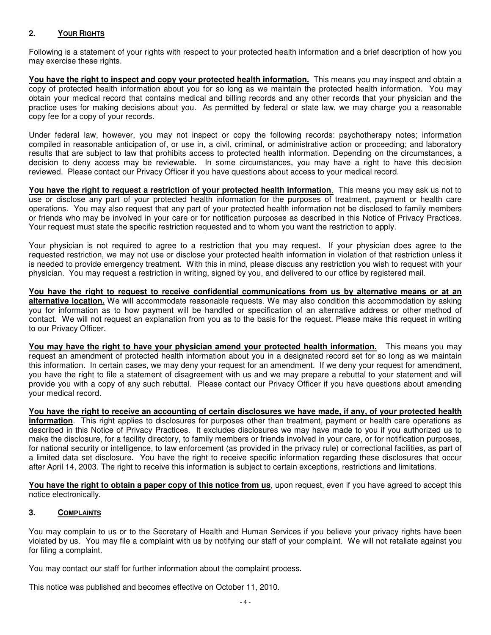## **2. YOUR RIGHTS**

Following is a statement of your rights with respect to your protected health information and a brief description of how you may exercise these rights.

You have the right to inspect and copy your protected health information. This means you may inspect and obtain a copy of protected health information about you for so long as we maintain the protected health information. You may obtain your medical record that contains medical and billing records and any other records that your physician and the practice uses for making decisions about you. As permitted by federal or state law, we may charge you a reasonable copy fee for a copy of your records.

Under federal law, however, you may not inspect or copy the following records: psychotherapy notes; information compiled in reasonable anticipation of, or use in, a civil, criminal, or administrative action or proceeding; and laboratory results that are subject to law that prohibits access to protected health information. Depending on the circumstances, a decision to deny access may be reviewable. In some circumstances, you may have a right to have this decision reviewed. Please contact our Privacy Officer if you have questions about access to your medical record.

**You have the right to request a restriction of your protected health information**. This means you may ask us not to use or disclose any part of your protected health information for the purposes of treatment, payment or health care operations. You may also request that any part of your protected health information not be disclosed to family members or friends who may be involved in your care or for notification purposes as described in this Notice of Privacy Practices. Your request must state the specific restriction requested and to whom you want the restriction to apply.

Your physician is not required to agree to a restriction that you may request. If your physician does agree to the requested restriction, we may not use or disclose your protected health information in violation of that restriction unless it is needed to provide emergency treatment. With this in mind, please discuss any restriction you wish to request with your physician. You may request a restriction in writing, signed by you, and delivered to our office by registered mail.

**You have the right to request to receive confidential communications from us by alternative means or at an**  alternative location. We will accommodate reasonable requests. We may also condition this accommodation by asking you for information as to how payment will be handled or specification of an alternative address or other method of contact. We will not request an explanation from you as to the basis for the request. Please make this request in writing to our Privacy Officer.

**You may have the right to have your physician amend your protected health information.** This means you may request an amendment of protected health information about you in a designated record set for so long as we maintain this information. In certain cases, we may deny your request for an amendment. If we deny your request for amendment, you have the right to file a statement of disagreement with us and we may prepare a rebuttal to your statement and will provide you with a copy of any such rebuttal. Please contact our Privacy Officer if you have questions about amending your medical record.

**You have the right to receive an accounting of certain disclosures we have made, if any, of your protected health information**. This right applies to disclosures for purposes other than treatment, payment or health care operations as described in this Notice of Privacy Practices. It excludes disclosures we may have made to you if you authorized us to make the disclosure, for a facility directory, to family members or friends involved in your care, or for notification purposes, for national security or intelligence, to law enforcement (as provided in the privacy rule) or correctional facilities, as part of a limited data set disclosure. You have the right to receive specific information regarding these disclosures that occur after April 14, 2003. The right to receive this information is subject to certain exceptions, restrictions and limitations.

**You have the right to obtain a paper copy of this notice from us**, upon request, even if you have agreed to accept this notice electronically.

## **3. COMPLAINTS**

You may complain to us or to the Secretary of Health and Human Services if you believe your privacy rights have been violated by us. You may file a complaint with us by notifying our staff of your complaint. We will not retaliate against you for filing a complaint.

You may contact our staff for further information about the complaint process.

This notice was published and becomes effective on October 11, 2010.